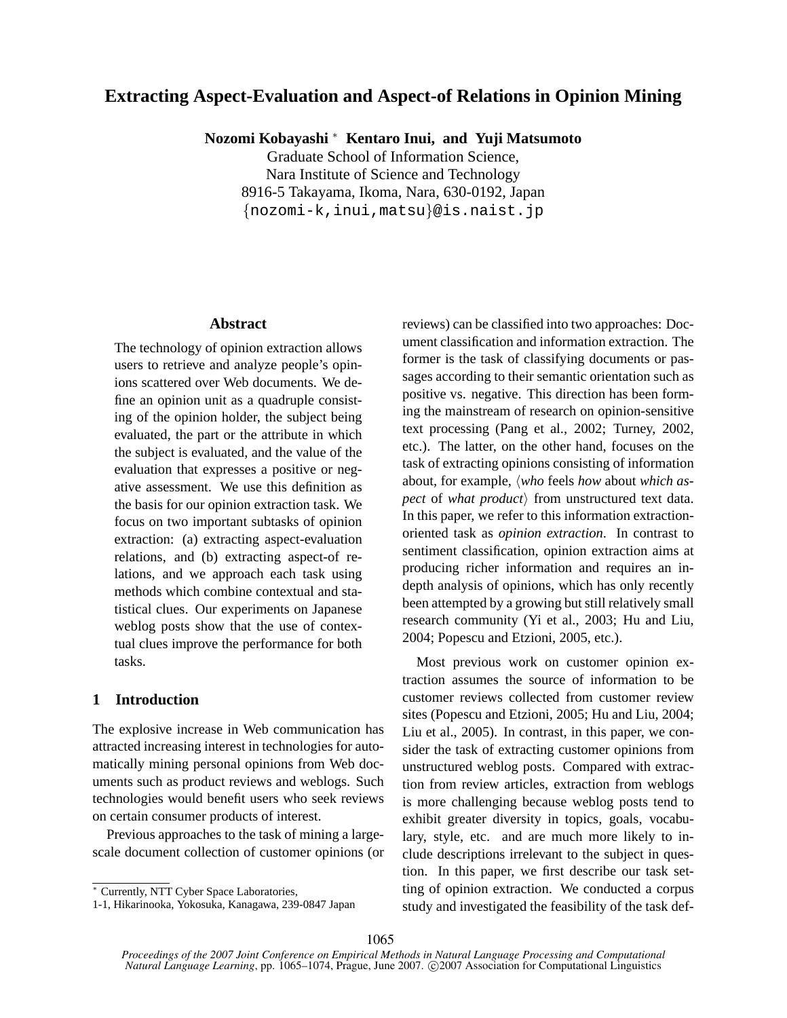## **Extracting Aspect-Evaluation and Aspect-of Relations in Opinion Mining**

**Nozomi Kobayashi** <sup>∗</sup> **Kentaro Inui, and Yuji Matsumoto**

Graduate School of Information Science, Nara Institute of Science and Technology 8916-5 Takayama, Ikoma, Nara, 630-0192, Japan {nozomi-k,inui,matsu}@is.naist.jp

#### **Abstract**

The technology of opinion extraction allows users to retrieve and analyze people's opinions scattered over Web documents. We define an opinion unit as a quadruple consisting of the opinion holder, the subject being evaluated, the part or the attribute in which the subject is evaluated, and the value of the evaluation that expresses a positive or negative assessment. We use this definition as the basis for our opinion extraction task. We focus on two important subtasks of opinion extraction: (a) extracting aspect-evaluation relations, and (b) extracting aspect-of relations, and we approach each task using methods which combine contextual and statistical clues. Our experiments on Japanese weblog posts show that the use of contextual clues improve the performance for both tasks.

## **1 Introduction**

The explosive increase in Web communication has attracted increasing interest in technologies for automatically mining personal opinions from Web documents such as product reviews and weblogs. Such technologies would benefit users who seek reviews on certain consumer products of interest.

Previous approaches to the task of mining a largescale document collection of customer opinions (or reviews) can be classified into two approaches: Document classification and information extraction. The former is the task of classifying documents or passages according to their semantic orientation such as positive vs. negative. This direction has been forming the mainstream of research on opinion-sensitive text processing (Pang et al., 2002; Turney, 2002, etc.). The latter, on the other hand, focuses on the task of extracting opinions consisting of information about, for example, *(who* feels *how* about *which aspect* of *what product* $\rangle$  from unstructured text data. In this paper, we refer to this information extractionoriented task as *opinion extraction*. In contrast to sentiment classification, opinion extraction aims at producing richer information and requires an indepth analysis of opinions, which has only recently been attempted by a growing but still relatively small research community (Yi et al., 2003; Hu and Liu, 2004; Popescu and Etzioni, 2005, etc.).

Most previous work on customer opinion extraction assumes the source of information to be customer reviews collected from customer review sites (Popescu and Etzioni, 2005; Hu and Liu, 2004; Liu et al., 2005). In contrast, in this paper, we consider the task of extracting customer opinions from unstructured weblog posts. Compared with extraction from review articles, extraction from weblogs is more challenging because weblog posts tend to exhibit greater diversity in topics, goals, vocabulary, style, etc. and are much more likely to include descriptions irrelevant to the subject in question. In this paper, we first describe our task setting of opinion extraction. We conducted a corpus study and investigated the feasibility of the task def-

<sup>∗</sup> Currently, NTT Cyber Space Laboratories,

<sup>1-1,</sup> Hikarinooka, Yokosuka, Kanagawa, 239-0847 Japan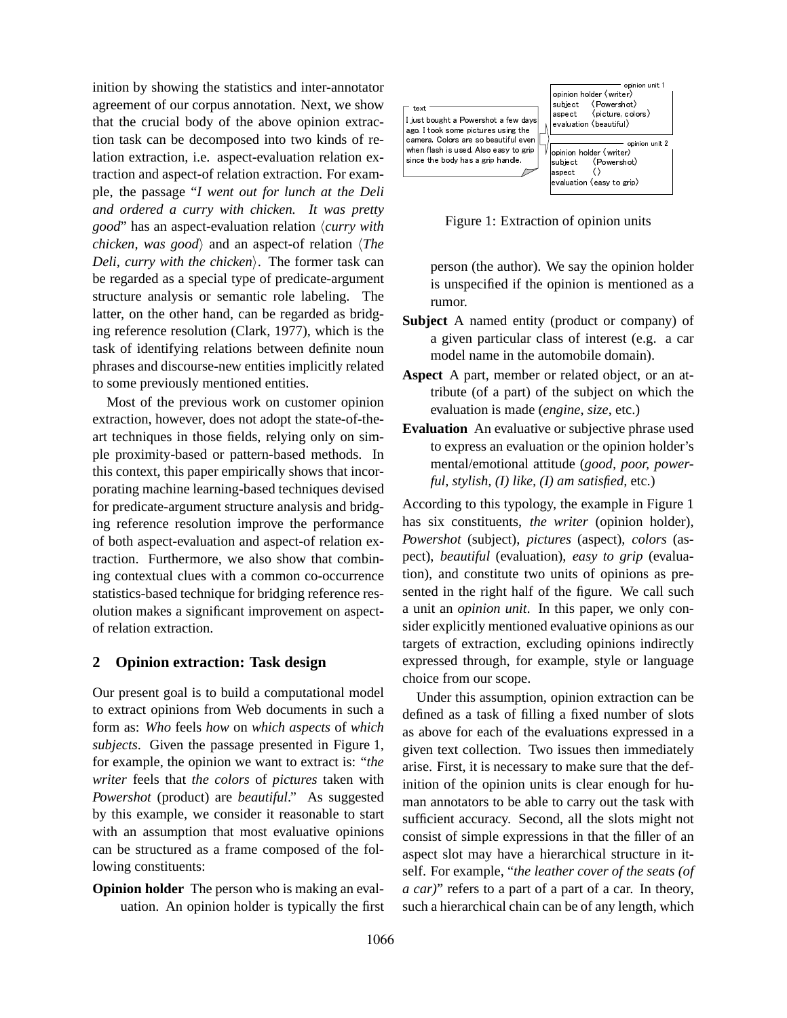inition by showing the statistics and inter-annotator agreement of our corpus annotation. Next, we show that the crucial body of the above opinion extraction task can be decomposed into two kinds of relation extraction, i.e. aspect-evaluation relation extraction and aspect-of relation extraction. For example, the passage "*I went out for lunch at the Deli and ordered a curry with chicken. It was pretty good*" has an aspect-evaluation relation  $\langle curry \text{ with }$ *chicken, was good*) and an aspect-of relation  $\langle The \rangle$ *Deli, curry with the chicken*). The former task can be regarded as a special type of predicate-argument structure analysis or semantic role labeling. The latter, on the other hand, can be regarded as bridging reference resolution (Clark, 1977), which is the task of identifying relations between definite noun phrases and discourse-new entities implicitly related to some previously mentioned entities.

Most of the previous work on customer opinion extraction, however, does not adopt the state-of-theart techniques in those fields, relying only on simple proximity-based or pattern-based methods. In this context, this paper empirically shows that incorporating machine learning-based techniques devised for predicate-argument structure analysis and bridging reference resolution improve the performance of both aspect-evaluation and aspect-of relation extraction. Furthermore, we also show that combining contextual clues with a common co-occurrence statistics-based technique for bridging reference resolution makes a significant improvement on aspectof relation extraction.

## **2 Opinion extraction: Task design**

Our present goal is to build a computational model to extract opinions from Web documents in such a form as: *Who* feels *how* on *which aspects* of *which subjects*. Given the passage presented in Figure 1, for example, the opinion we want to extract is: "*the writer* feels that *the colors* of *pictures* taken with *Powershot* (product) are *beautiful*." As suggested by this example, we consider it reasonable to start with an assumption that most evaluative opinions can be structured as a frame composed of the following constituents:

**Opinion holder** The person who is making an evaluation. An opinion holder is typically the first



Figure 1: Extraction of opinion units

person (the author). We say the opinion holder is unspecified if the opinion is mentioned as a rumor.

- **Subject** A named entity (product or company) of a given particular class of interest (e.g. a car model name in the automobile domain).
- **Aspect** A part, member or related object, or an attribute (of a part) of the subject on which the evaluation is made (*engine*, *size*, etc.)
- **Evaluation** An evaluative or subjective phrase used to express an evaluation or the opinion holder's mental/emotional attitude (*good, poor, powerful, stylish, (I) like, (I) am satisfied*, etc.)

According to this typology, the example in Figure 1 has six constituents, *the writer* (opinion holder), *Powershot* (subject), *pictures* (aspect), *colors* (aspect), *beautiful* (evaluation), *easy to grip* (evaluation), and constitute two units of opinions as presented in the right half of the figure. We call such a unit an *opinion unit*. In this paper, we only consider explicitly mentioned evaluative opinions as our targets of extraction, excluding opinions indirectly expressed through, for example, style or language choice from our scope.

Under this assumption, opinion extraction can be defined as a task of filling a fixed number of slots as above for each of the evaluations expressed in a given text collection. Two issues then immediately arise. First, it is necessary to make sure that the definition of the opinion units is clear enough for human annotators to be able to carry out the task with sufficient accuracy. Second, all the slots might not consist of simple expressions in that the filler of an aspect slot may have a hierarchical structure in itself. For example, "*the leather cover of the seats (of a car)*" refers to a part of a part of a car. In theory, such a hierarchical chain can be of any length, which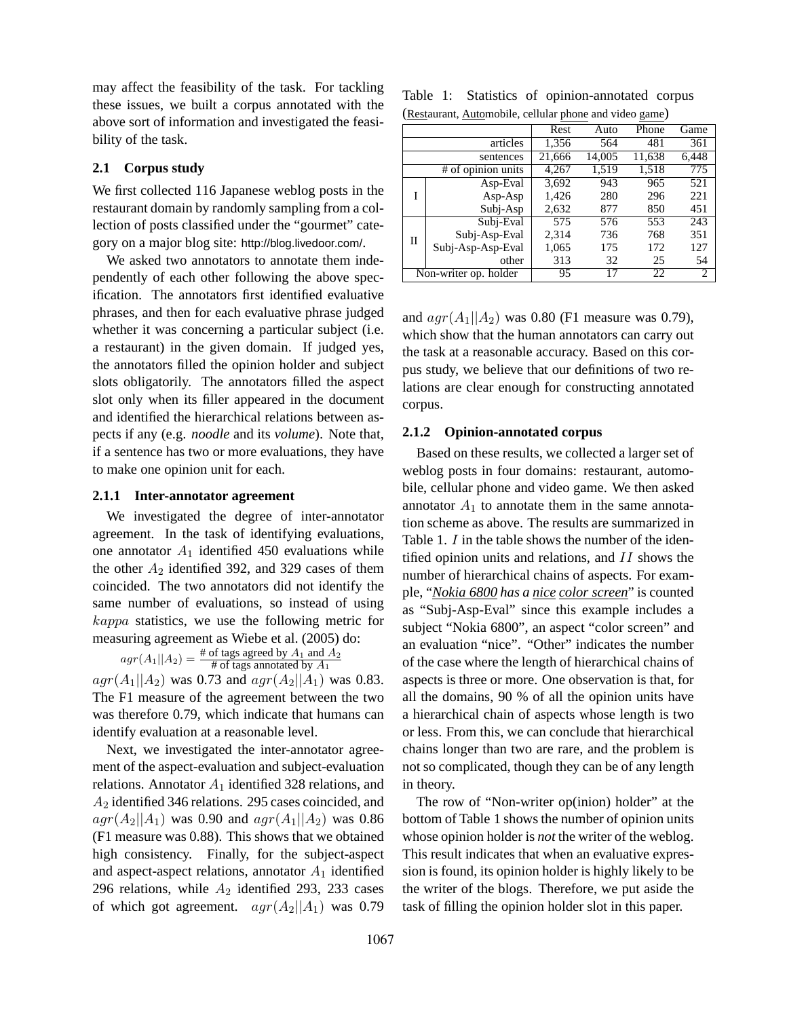may affect the feasibility of the task. For tackling these issues, we built a corpus annotated with the above sort of information and investigated the feasibility of the task.

## **2.1 Corpus study**

We first collected 116 Japanese weblog posts in the restaurant domain by randomly sampling from a collection of posts classified under the "gourmet" category on a major blog site: http://blog.livedoor.com/.

We asked two annotators to annotate them independently of each other following the above specification. The annotators first identified evaluative phrases, and then for each evaluative phrase judged whether it was concerning a particular subject (i.e. a restaurant) in the given domain. If judged yes, the annotators filled the opinion holder and subject slots obligatorily. The annotators filled the aspect slot only when its filler appeared in the document and identified the hierarchical relations between aspects if any (e.g. *noodle* and its *volume*). Note that, if a sentence has two or more evaluations, they have to make one opinion unit for each.

#### **2.1.1 Inter-annotator agreement**

We investigated the degree of inter-annotator agreement. In the task of identifying evaluations, one annotator  $A_1$  identified 450 evaluations while the other  $A_2$  identified 392, and 329 cases of them coincided. The two annotators did not identify the same number of evaluations, so instead of using kappa statistics, we use the following metric for measuring agreement as Wiebe et al. (2005) do:

 $agr(A_1||A_2) = \frac{\text{\# of tags agreed by } A_1 \text{ and } A_2}{\text{\# of tags annotated by } A_1}$ 

 $agr(A_1||A_2)$  was 0.73 and  $agr(A_2||A_1)$  was 0.83. The F1 measure of the agreement between the two was therefore 0.79, which indicate that humans can identify evaluation at a reasonable level.

Next, we investigated the inter-annotator agreement of the aspect-evaluation and subject-evaluation relations. Annotator  $A_1$  identified 328 relations, and A<sup>2</sup> identified 346 relations. 295 cases coincided, and  $agr(A_2||A_1)$  was 0.90 and  $agr(A_1||A_2)$  was 0.86 (F1 measure was 0.88). This shows that we obtained high consistency. Finally, for the subject-aspect and aspect-aspect relations, annotator  $A_1$  identified 296 relations, while  $A_2$  identified 293, 233 cases of which got agreement.  $agr(A_2||A_1)$  was 0.79

Table 1: Statistics of opinion-annotated corpus (Restaurant, Automobile, cellular phone and video game)

|                       |                   | Rest   | Auto   | Phone  | Game           |
|-----------------------|-------------------|--------|--------|--------|----------------|
| articles              |                   | 1,356  | 564    | 481    | 361            |
|                       | sentences         | 21,666 | 14,005 | 11,638 | 6,448          |
| # of opinion units    |                   | 4,267  | 1,519  | 1,518  | 775            |
| T                     | Asp-Eval          | 3,692  | 943    | 965    | 521            |
|                       | $Asp-Asp$         | 1,426  | 280    | 296    | 221            |
|                       | Subj-Asp          | 2,632  | 877    | 850    | 451            |
| П                     | Subj-Eval         | 575    | 576    | 553    | 243            |
|                       | Subj-Asp-Eval     | 2,314  | 736    | 768    | 351            |
|                       | Subj-Asp-Asp-Eval | 1,065  | 175    | 172    | 127            |
|                       | other             | 313    | 32     | 25     | 54             |
| Non-writer op. holder |                   | 95     | 17     | 22     | $\overline{c}$ |

and  $agr(A_1||A_2)$  was 0.80 (F1 measure was 0.79), which show that the human annotators can carry out the task at a reasonable accuracy. Based on this corpus study, we believe that our definitions of two relations are clear enough for constructing annotated corpus.

#### **2.1.2 Opinion-annotated corpus**

Based on these results, we collected a larger set of weblog posts in four domains: restaurant, automobile, cellular phone and video game. We then asked annotator  $A_1$  to annotate them in the same annotation scheme as above. The results are summarized in Table 1. *I* in the table shows the number of the identified opinion units and relations, and II shows the number of hierarchical chains of aspects. For example, "*Nokia 6800 has a nice color screen*" is counted as "Subj-Asp-Eval" since this example includes a subject "Nokia 6800", an aspect "color screen" and an evaluation "nice". "Other" indicates the number of the case where the length of hierarchical chains of aspects is three or more. One observation is that, for all the domains, 90 % of all the opinion units have a hierarchical chain of aspects whose length is two or less. From this, we can conclude that hierarchical chains longer than two are rare, and the problem is not so complicated, though they can be of any length in theory.

The row of "Non-writer op(inion) holder" at the bottom of Table 1 shows the number of opinion units whose opinion holder is *not* the writer of the weblog. This result indicates that when an evaluative expression is found, its opinion holder is highly likely to be the writer of the blogs. Therefore, we put aside the task of filling the opinion holder slot in this paper.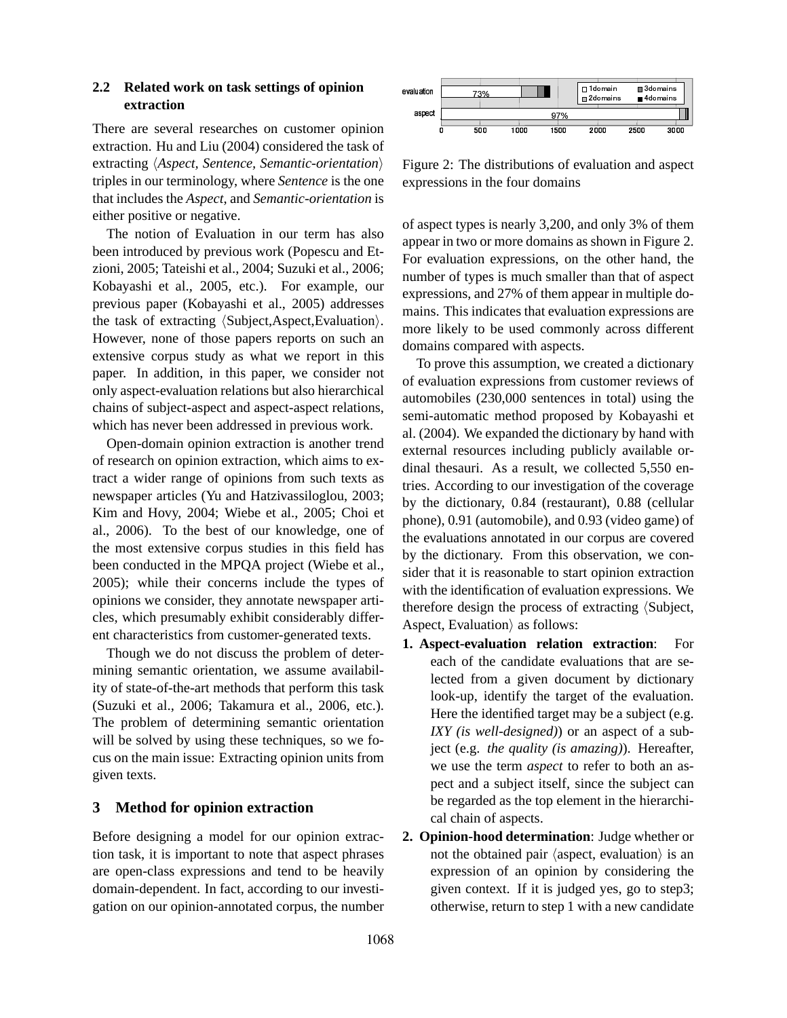## **2.2 Related work on task settings of opinion extraction**

There are several researches on customer opinion extraction. Hu and Liu (2004) considered the task of extracting *(Aspect, Sentence, Semantic-orientation)* triples in our terminology, where *Sentence* is the one that includes the *Aspect*, and *Semantic-orientation* is either positive or negative.

The notion of Evaluation in our term has also been introduced by previous work (Popescu and Etzioni, 2005; Tateishi et al., 2004; Suzuki et al., 2006; Kobayashi et al., 2005, etc.). For example, our previous paper (Kobayashi et al., 2005) addresses the task of extracting  $\langle \text{Subject,Aspect,Evaluate}\rangle$ . However, none of those papers reports on such an extensive corpus study as what we report in this paper. In addition, in this paper, we consider not only aspect-evaluation relations but also hierarchical chains of subject-aspect and aspect-aspect relations, which has never been addressed in previous work.

Open-domain opinion extraction is another trend of research on opinion extraction, which aims to extract a wider range of opinions from such texts as newspaper articles (Yu and Hatzivassiloglou, 2003; Kim and Hovy, 2004; Wiebe et al., 2005; Choi et al., 2006). To the best of our knowledge, one of the most extensive corpus studies in this field has been conducted in the MPQA project (Wiebe et al., 2005); while their concerns include the types of opinions we consider, they annotate newspaper articles, which presumably exhibit considerably different characteristics from customer-generated texts.

Though we do not discuss the problem of determining semantic orientation, we assume availability of state-of-the-art methods that perform this task (Suzuki et al., 2006; Takamura et al., 2006, etc.). The problem of determining semantic orientation will be solved by using these techniques, so we focus on the main issue: Extracting opinion units from given texts.

## **3 Method for opinion extraction**

Before designing a model for our opinion extraction task, it is important to note that aspect phrases are open-class expressions and tend to be heavily domain-dependent. In fact, according to our investigation on our opinion-annotated corpus, the number



Figure 2: The distributions of evaluation and aspect expressions in the four domains

of aspect types is nearly 3,200, and only 3% of them appear in two or more domains as shown in Figure 2. For evaluation expressions, on the other hand, the number of types is much smaller than that of aspect expressions, and 27% of them appear in multiple domains. This indicates that evaluation expressions are more likely to be used commonly across different domains compared with aspects.

To prove this assumption, we created a dictionary of evaluation expressions from customer reviews of automobiles (230,000 sentences in total) using the semi-automatic method proposed by Kobayashi et al. (2004). We expanded the dictionary by hand with external resources including publicly available ordinal thesauri. As a result, we collected 5,550 entries. According to our investigation of the coverage by the dictionary, 0.84 (restaurant), 0.88 (cellular phone), 0.91 (automobile), and 0.93 (video game) of the evaluations annotated in our corpus are covered by the dictionary. From this observation, we consider that it is reasonable to start opinion extraction with the identification of evaluation expressions. We therefore design the process of extracting  $\langle \text{Subject}, \rangle$ Aspect, Evaluation $\rangle$  as follows:

- **1. Aspect-evaluation relation extraction**: For each of the candidate evaluations that are selected from a given document by dictionary look-up, identify the target of the evaluation. Here the identified target may be a subject (e.g. *IXY (is well-designed)*) or an aspect of a subject (e.g. *the quality (is amazing)*). Hereafter, we use the term *aspect* to refer to both an aspect and a subject itself, since the subject can be regarded as the top element in the hierarchical chain of aspects.
- **2. Opinion-hood determination**: Judge whether or not the obtained pair  $\langle$  aspect, evaluation $\rangle$  is an expression of an opinion by considering the given context. If it is judged yes, go to step3; otherwise, return to step 1 with a new candidate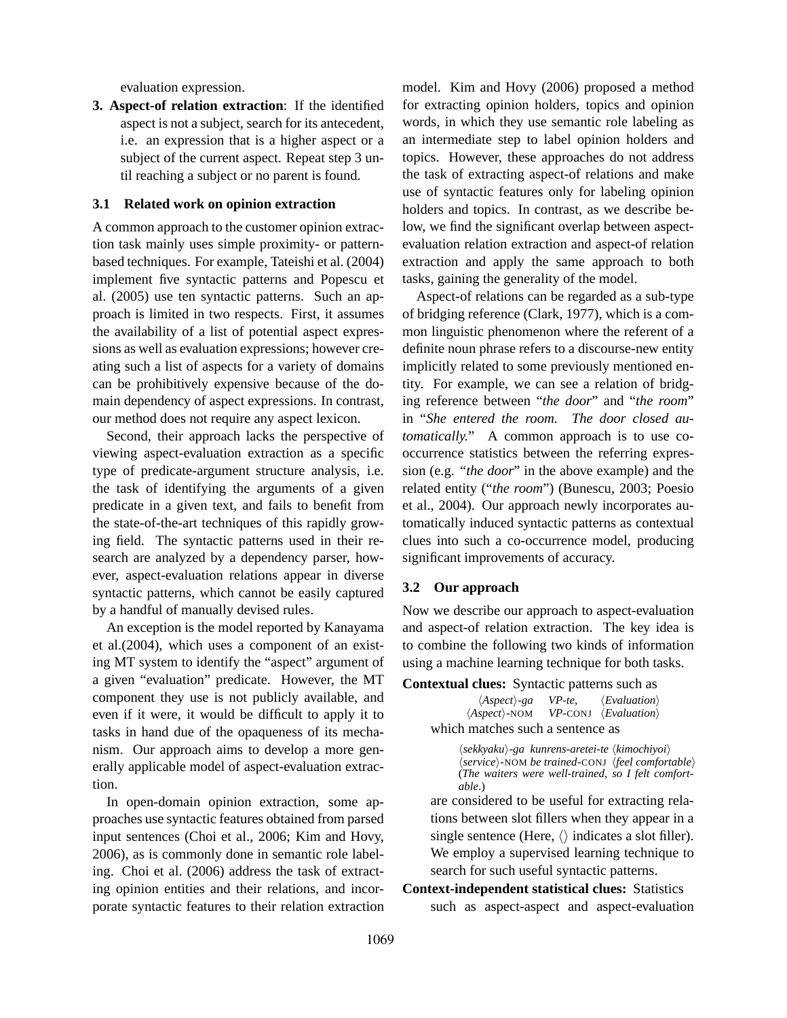evaluation expression.

**3. Aspect-of relation extraction**: If the identified aspect is not a subject, search for its antecedent, i.e. an expression that is a higher aspect or a subject of the current aspect. Repeat step 3 until reaching a subject or no parent is found.

#### **3.1 Related work on opinion extraction**

A common approach to the customer opinion extraction task mainly uses simple proximity- or patternbased techniques. For example, Tateishi et al. (2004) implement five syntactic patterns and Popescu et al. (2005) use ten syntactic patterns. Such an approach is limited in two respects. First, it assumes the availability of a list of potential aspect expressions as well as evaluation expressions; however creating such a list of aspects for a variety of domains can be prohibitively expensive because of the domain dependency of aspect expressions. In contrast, our method does not require any aspect lexicon.

Second, their approach lacks the perspective of viewing aspect-evaluation extraction as a specific type of predicate-argument structure analysis, i.e. the task of identifying the arguments of a given predicate in a given text, and fails to benefit from the state-of-the-art techniques of this rapidly growing field. The syntactic patterns used in their research are analyzed by a dependency parser, however, aspect-evaluation relations appear in diverse syntactic patterns, which cannot be easily captured by a handful of manually devised rules.

An exception is the model reported by Kanayama et al.(2004), which uses a component of an existing MT system to identify the "aspect" argument of a given "evaluation" predicate. However, the MT component they use is not publicly available, and even if it were, it would be difficult to apply it to tasks in hand due of the opaqueness of its mechanism. Our approach aims to develop a more generally applicable model of aspect-evaluation extraction.

In open-domain opinion extraction, some approaches use syntactic features obtained from parsed input sentences (Choi et al., 2006; Kim and Hovy, 2006), as is commonly done in semantic role labeling. Choi et al. (2006) address the task of extracting opinion entities and their relations, and incorporate syntactic features to their relation extraction model. Kim and Hovy (2006) proposed a method for extracting opinion holders, topics and opinion words, in which they use semantic role labeling as an intermediate step to label opinion holders and topics. However, these approaches do not address the task of extracting aspect-of relations and make use of syntactic features only for labeling opinion holders and topics. In contrast, as we describe below, we find the significant overlap between aspectevaluation relation extraction and aspect-of relation extraction and apply the same approach to both tasks, gaining the generality of the model.

Aspect-of relations can be regarded as a sub-type of bridging reference (Clark, 1977), which is a common linguistic phenomenon where the referent of a definite noun phrase refers to a discourse-new entity implicitly related to some previously mentioned entity. For example, we can see a relation of bridging reference between "*the door*" and "*the room*" in "*She entered the room. The door closed automatically.*" A common approach is to use cooccurrence statistics between the referring expression (e.g. "*the door*" in the above example) and the related entity ("*the room*") (Bunescu, 2003; Poesio et al., 2004). Our approach newly incorporates automatically induced syntactic patterns as contextual clues into such a co-occurrence model, producing significant improvements of accuracy.

#### **3.2 Our approach**

Now we describe our approach to aspect-evaluation and aspect-of relation extraction. The key idea is to combine the following two kinds of information using a machine learning technique for both tasks.

**Contextual clues:** Syntactic patterns such as

 $\langle Aspect \rangle$ -ga VP-te,  $\langle Evaluation \rangle$ <br> $\langle Aspect \rangle$ -NOM VP-CONJ  $\langle Evaluation \rangle$  $VP$ -CONJ  $\langle Evaluation \rangle$ which matches such a sentence as

> h*sekkyaku*i*-ga kunrens-aretei-te* h*kimochiyoi*i  $\langle service \rangle$ -NOM *be trained*-CONJ  $\langle feel \textit{comfortable} \rangle$ (*The waiters were well-trained, so I felt comfortable*.)

are considered to be useful for extracting relations between slot fillers when they appear in a single sentence (Here,  $\langle \rangle$  indicates a slot filler). We employ a supervised learning technique to search for such useful syntactic patterns.

# **Context-independent statistical clues:** Statistics

such as aspect-aspect and aspect-evaluation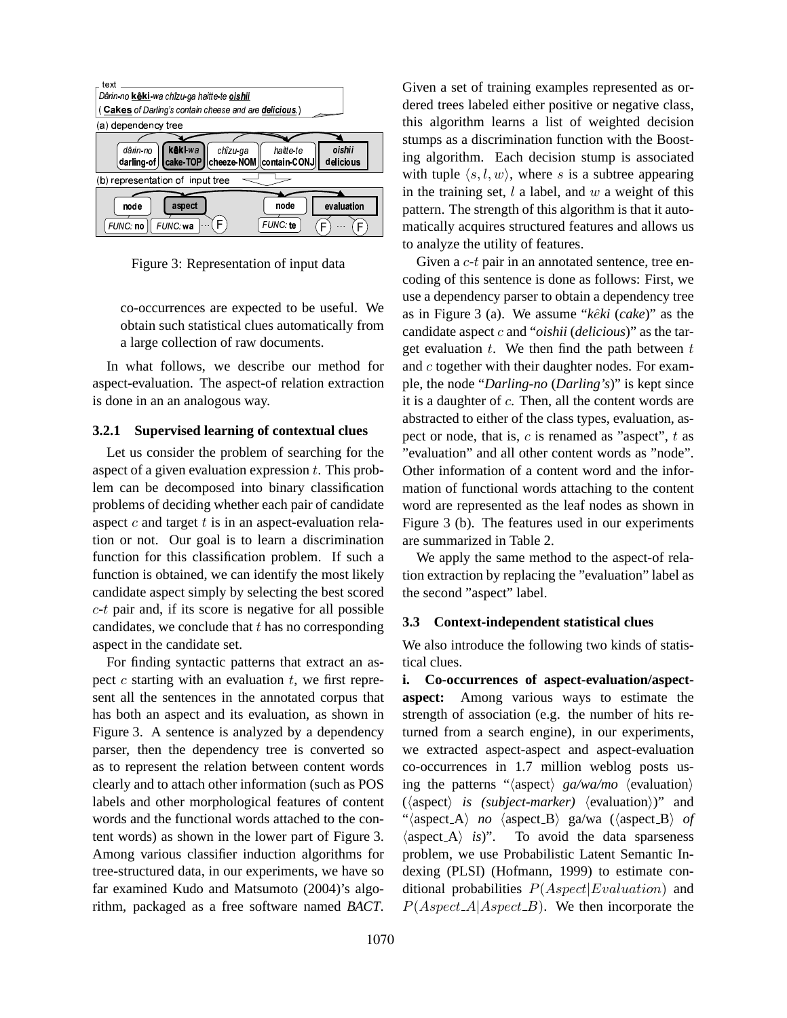

Figure 3: Representation of input data

co-occurrences are expected to be useful. We obtain such statistical clues automatically from a large collection of raw documents.

In what follows, we describe our method for aspect-evaluation. The aspect-of relation extraction is done in an an analogous way.

#### **3.2.1 Supervised learning of contextual clues**

Let us consider the problem of searching for the aspect of a given evaluation expression  $t$ . This problem can be decomposed into binary classification problems of deciding whether each pair of candidate aspect  $c$  and target  $t$  is in an aspect-evaluation relation or not. Our goal is to learn a discrimination function for this classification problem. If such a function is obtained, we can identify the most likely candidate aspect simply by selecting the best scored  $c$ -t pair and, if its score is negative for all possible candidates, we conclude that  $t$  has no corresponding aspect in the candidate set.

For finding syntactic patterns that extract an aspect  $c$  starting with an evaluation  $t$ , we first represent all the sentences in the annotated corpus that has both an aspect and its evaluation, as shown in Figure 3. A sentence is analyzed by a dependency parser, then the dependency tree is converted so as to represent the relation between content words clearly and to attach other information (such as POS labels and other morphological features of content words and the functional words attached to the content words) as shown in the lower part of Figure 3. Among various classifier induction algorithms for tree-structured data, in our experiments, we have so far examined Kudo and Matsumoto (2004)'s algorithm, packaged as a free software named *BACT*.

F) matically acquires structured features and allows us Given a set of training examples represented as ordered trees labeled either positive or negative class, this algorithm learns a list of weighted decision stumps as a discrimination function with the Boosting algorithm. Each decision stump is associated with tuple  $\langle s, l, w \rangle$ , where s is a subtree appearing in the training set,  $l$  a label, and  $w$  a weight of this pattern. The strength of this algorithm is that it autoto analyze the utility of features.

> Given a  $c$ - $t$  pair in an annotated sentence, tree encoding of this sentence is done as follows: First, we use a dependency parser to obtain a dependency tree as in Figure 3 (a). We assume "*kêki* (*cake*)" as the candidate aspect c and "*oishii* (*delicious*)" as the target evaluation  $t$ . We then find the path between  $t$ and c together with their daughter nodes. For example, the node "*Darling-no* (*Darling's*)" is kept since it is a daughter of c. Then, all the content words are abstracted to either of the class types, evaluation, aspect or node, that is,  $c$  is renamed as "aspect",  $t$  as "evaluation" and all other content words as "node". Other information of a content word and the information of functional words attaching to the content word are represented as the leaf nodes as shown in Figure 3 (b). The features used in our experiments are summarized in Table 2.

> We apply the same method to the aspect-of relation extraction by replacing the "evaluation" label as the second "aspect" label.

#### **3.3 Context-independent statistical clues**

We also introduce the following two kinds of statistical clues.

**i. Co-occurrences of aspect-evaluation/aspectaspect:** Among various ways to estimate the strength of association (e.g. the number of hits returned from a search engine), in our experiments, we extracted aspect-aspect and aspect-evaluation co-occurrences in 1.7 million weblog posts using the patterns " $\langle$ aspect $\rangle$  *ga/wa/mo*  $\langle$  evaluation $\rangle$  $(\langle aspect\rangle is (subject-market) \langle evaluation\rangle)"$  and "(aspect\_A) *no* (aspect\_B) ga/wa ((aspect\_B) *of*  $\langle$ aspect A $\rangle$  *is*)". To avoid the data sparseness problem, we use Probabilistic Latent Semantic Indexing (PLSI) (Hofmann, 1999) to estimate conditional probabilities  $P(Aspect|Evaluation)$  and  $P(Aspect \_A|Aspect \_B)$ . We then incorporate the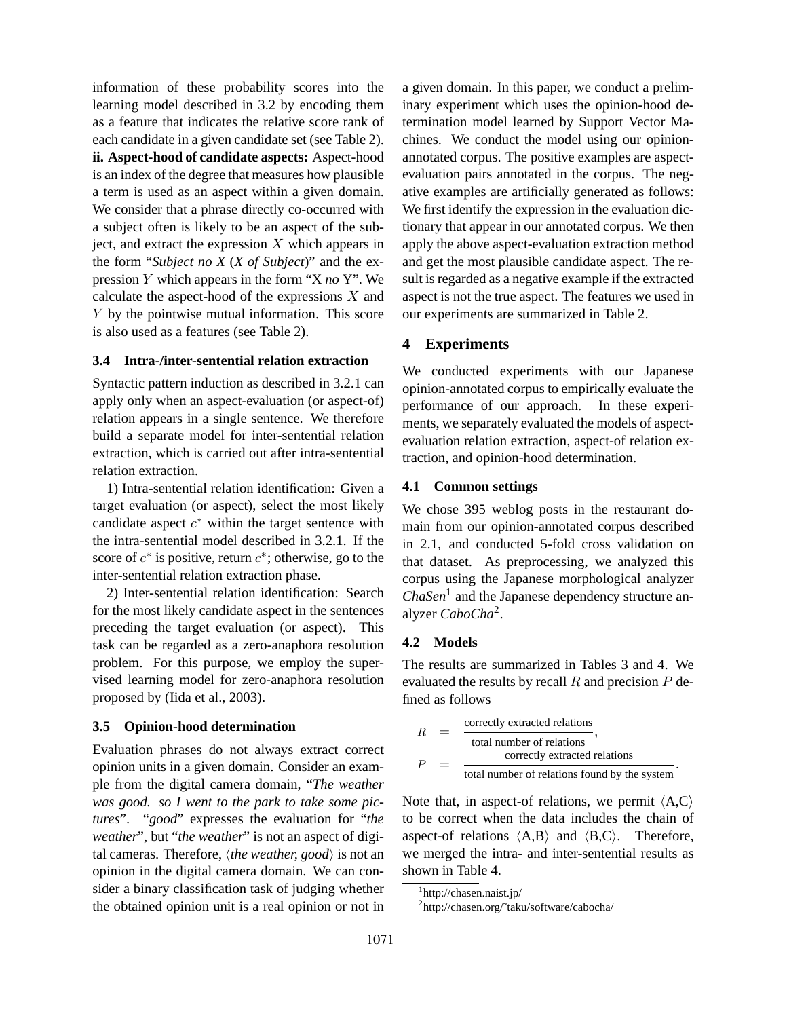information of these probability scores into the learning model described in 3.2 by encoding them as a feature that indicates the relative score rank of each candidate in a given candidate set (see Table 2). **ii. Aspect-hood of candidate aspects:** Aspect-hood is an index of the degree that measures how plausible a term is used as an aspect within a given domain. We consider that a phrase directly co-occurred with a subject often is likely to be an aspect of the subject, and extract the expression  $X$  which appears in the form "*Subject no X* (*X of Subject*)" and the expression Y which appears in the form "X *no* Y". We calculate the aspect-hood of the expressions  $X$  and Y by the pointwise mutual information. This score is also used as a features (see Table 2).

## **3.4 Intra-/inter-sentential relation extraction**

Syntactic pattern induction as described in 3.2.1 can apply only when an aspect-evaluation (or aspect-of) relation appears in a single sentence. We therefore build a separate model for inter-sentential relation extraction, which is carried out after intra-sentential relation extraction.

1) Intra-sentential relation identification: Given a target evaluation (or aspect), select the most likely candidate aspect  $c^*$  within the target sentence with the intra-sentential model described in 3.2.1. If the score of  $c^*$  is positive, return  $c^*$ ; otherwise, go to the inter-sentential relation extraction phase.

2) Inter-sentential relation identification: Search for the most likely candidate aspect in the sentences preceding the target evaluation (or aspect). This task can be regarded as a zero-anaphora resolution problem. For this purpose, we employ the supervised learning model for zero-anaphora resolution proposed by (Iida et al., 2003).

## **3.5 Opinion-hood determination**

Evaluation phrases do not always extract correct opinion units in a given domain. Consider an example from the digital camera domain, "*The weather was good. so I went to the park to take some pictures*". "*good*" expresses the evaluation for "*the weather*", but "*the weather*" is not an aspect of digital cameras. Therefore,  $\langle$ *the weather, good* $\rangle$  is not an opinion in the digital camera domain. We can consider a binary classification task of judging whether the obtained opinion unit is a real opinion or not in a given domain. In this paper, we conduct a preliminary experiment which uses the opinion-hood determination model learned by Support Vector Machines. We conduct the model using our opinionannotated corpus. The positive examples are aspectevaluation pairs annotated in the corpus. The negative examples are artificially generated as follows: We first identify the expression in the evaluation dictionary that appear in our annotated corpus. We then apply the above aspect-evaluation extraction method and get the most plausible candidate aspect. The result is regarded as a negative example if the extracted aspect is not the true aspect. The features we used in our experiments are summarized in Table 2.

## **4 Experiments**

We conducted experiments with our Japanese opinion-annotated corpus to empirically evaluate the performance of our approach. In these experiments, we separately evaluated the models of aspectevaluation relation extraction, aspect-of relation extraction, and opinion-hood determination.

## **4.1 Common settings**

We chose 395 weblog posts in the restaurant domain from our opinion-annotated corpus described in 2.1, and conducted 5-fold cross validation on that dataset. As preprocessing, we analyzed this corpus using the Japanese morphological analyzer *ChaSen*<sup>1</sup> and the Japanese dependency structure analyzer *CaboCha*<sup>2</sup> .

## **4.2 Models**

The results are summarized in Tables 3 and 4. We evaluated the results by recall  $R$  and precision  $P$  defined as follows

$$
R = \frac{\text{correctly extracted relations}}{\text{total number of relations}},
$$
  

$$
P = \frac{\text{correctly extracted relations}}{\text{total number of relations found by the system}}.
$$

Note that, in aspect-of relations, we permit  $\langle A, C \rangle$ to be correct when the data includes the chain of aspect-of relations  $\langle A,B \rangle$  and  $\langle B,C \rangle$ . Therefore, we merged the intra- and inter-sentential results as shown in Table 4.

<sup>1</sup> http://chasen.naist.jp/

<sup>2</sup> http://chasen.org/˜taku/software/cabocha/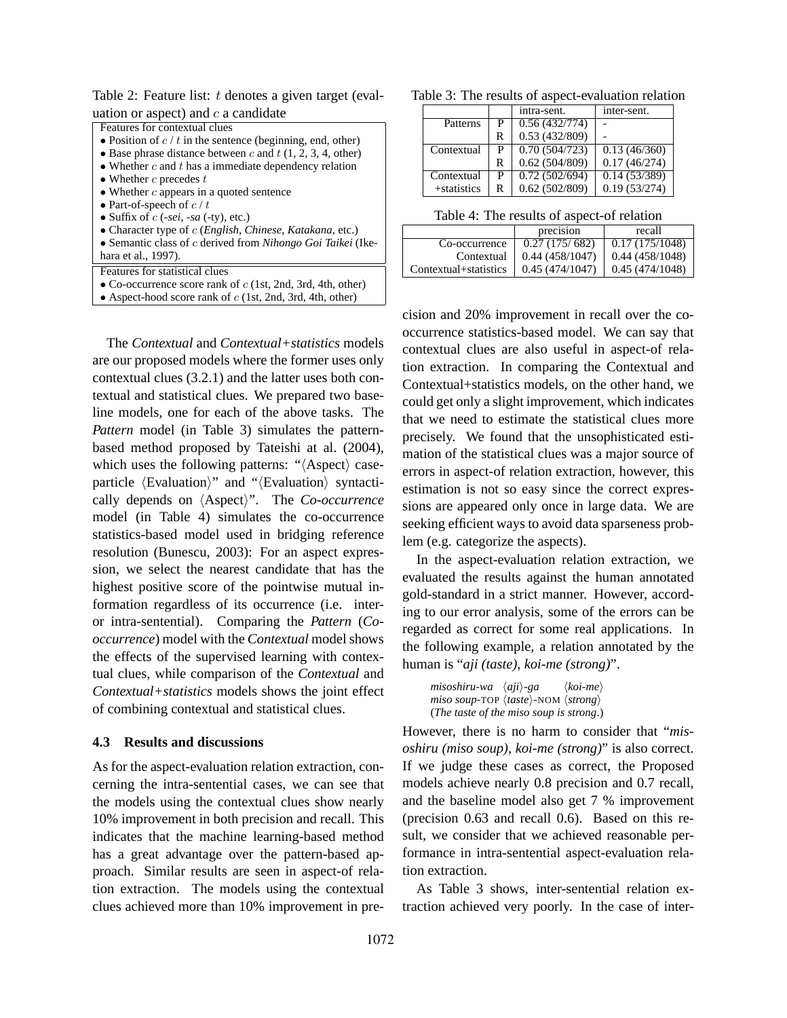Table 2: Feature list: t denotes a given target (evaluation or aspect) and  $c$  a candidate

| Features for contextual clues |  |  |  |
|-------------------------------|--|--|--|
|                               |  |  |  |

- Position of  $c / t$  in the sentence (beginning, end, other)
- Base phrase distance between c and  $t$  (1, 2, 3, 4, other) • Whether  $c$  and  $t$  has a immediate dependency relation
- 
- Whether  $c$  precedes  $t$
- Whether  $c$  appears in a quoted sentence • Part-of-speech of  $c/t$
- Suffix of  $c$  (*-sei*, *-sa* (*-ty*), etc.)
- Character type of c (*English*, *Chinese*, *Katakana*, etc.)
- Semantic class of c derived from *Nihongo Goi Taikei* (Ike-
- hara et al., 1997).

Features for statistical clues

- Co-occurrence score rank of  $c$  (1st, 2nd, 3rd, 4th, other)
- Aspect-hood score rank of  $c$  (1st, 2nd, 3rd, 4th, other)

The *Contextual* and *Contextual+statistics* models are our proposed models where the former uses only contextual clues (3.2.1) and the latter uses both contextual and statistical clues. We prepared two baseline models, one for each of the above tasks. The *Pattern* model (in Table 3) simulates the patternbased method proposed by Tateishi at al. (2004), which uses the following patterns: " $\langle$ Aspect $\rangle$  caseparticle  $\langle$ Evaluation $\rangle$ " and " $\langle$ Evaluation $\rangle$  syntactically depends on  $\langle$ Aspect $\rangle$ ". The *Co-occurrence* model (in Table 4) simulates the co-occurrence statistics-based model used in bridging reference resolution (Bunescu, 2003): For an aspect expression, we select the nearest candidate that has the highest positive score of the pointwise mutual information regardless of its occurrence (i.e. interor intra-sentential). Comparing the *Pattern* (*Cooccurrence*) model with the *Contextual* model shows the effects of the supervised learning with contextual clues, while comparison of the *Contextual* and *Contextual+statistics* models shows the joint effect of combining contextual and statistical clues.

#### **4.3 Results and discussions**

As for the aspect-evaluation relation extraction, concerning the intra-sentential cases, we can see that the models using the contextual clues show nearly 10% improvement in both precision and recall. This indicates that the machine learning-based method has a great advantage over the pattern-based approach. Similar results are seen in aspect-of relation extraction. The models using the contextual clues achieved more than 10% improvement in pre-

Table 3: The results of aspect-evaluation relation

|                |   | intra-sent.                | inter-sent.  |
|----------------|---|----------------------------|--------------|
| Patterns       | P | 0.56(432/774)              |              |
|                | R | 0.53(432/809)              |              |
| Contextual     | P | 0.70(504/723)              | 0.13(46/360) |
|                | R | 0.62(504/809)              | 0.17(46/274) |
| Contextual     | P | $\overline{0.72(502/694)}$ | 0.14(53/389) |
| $+$ statistics | R | 0.62(502/809)              | 0.19(53/274) |

|                       | precision      | recall         |
|-----------------------|----------------|----------------|
| Co-occurrence         | 0.27(175/682)  | 0.17(175/1048) |
| Contextual            | 0.44(458/1047) | 0.44(458/1048) |
| Contextual+statistics | 0.45(474/1047) | 0.45(474/1048) |

cision and 20% improvement in recall over the cooccurrence statistics-based model. We can say that contextual clues are also useful in aspect-of relation extraction. In comparing the Contextual and Contextual+statistics models, on the other hand, we could get only a slight improvement, which indicates that we need to estimate the statistical clues more precisely. We found that the unsophisticated estimation of the statistical clues was a major source of errors in aspect-of relation extraction, however, this estimation is not so easy since the correct expressions are appeared only once in large data. We are seeking efficient ways to avoid data sparseness problem (e.g. categorize the aspects).

In the aspect-evaluation relation extraction, we evaluated the results against the human annotated gold-standard in a strict manner. However, according to our error analysis, some of the errors can be regarded as correct for some real applications. In the following example, a relation annotated by the human is "*aji (taste)*, *koi-me (strong)*".

*misoshiru-wa*  $\langle aji \rangle$ -ga  $\langle koi-me \rangle$ *miso soup-TOP*  $\langle \textit{taste} \rangle$ *-NOM*  $\langle \textit{strong} \rangle$ (*The taste of the miso soup is strong*.)

However, there is no harm to consider that "*misoshiru (miso soup)*, *koi-me (strong)*" is also correct. If we judge these cases as correct, the Proposed models achieve nearly 0.8 precision and 0.7 recall, and the baseline model also get 7 % improvement (precision 0.63 and recall 0.6). Based on this result, we consider that we achieved reasonable performance in intra-sentential aspect-evaluation relation extraction.

As Table 3 shows, inter-sentential relation extraction achieved very poorly. In the case of inter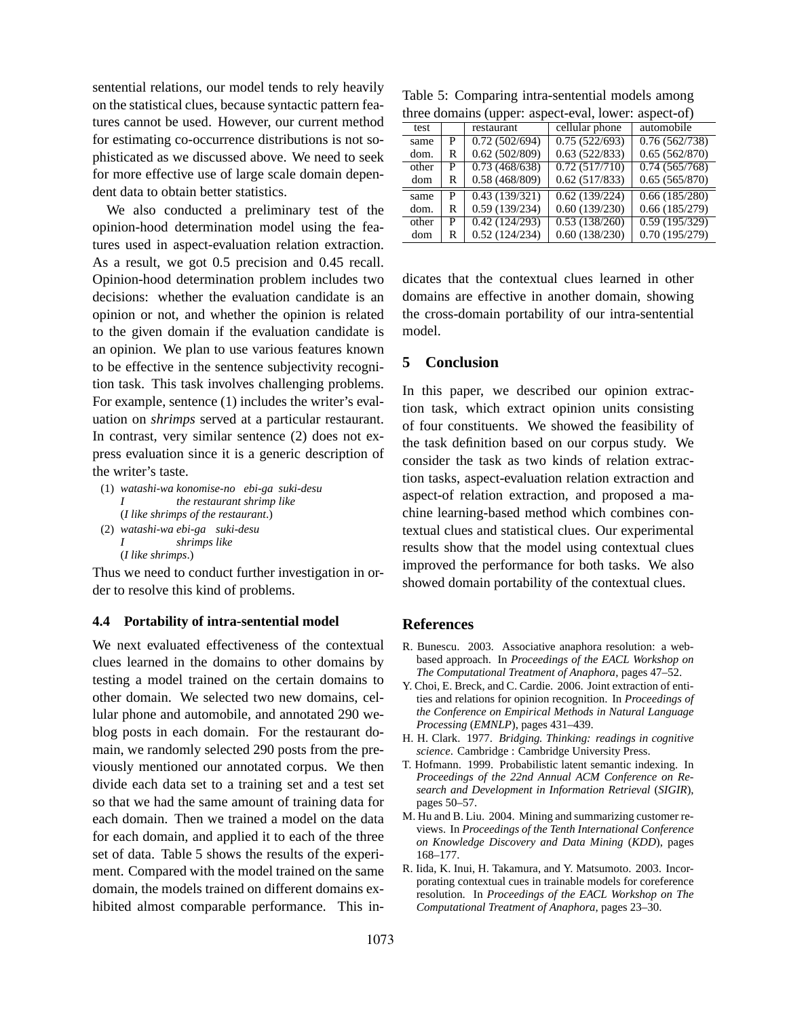sentential relations, our model tends to rely heavily on the statistical clues, because syntactic pattern features cannot be used. However, our current method for estimating co-occurrence distributions is not sophisticated as we discussed above. We need to seek for more effective use of large scale domain dependent data to obtain better statistics.

We also conducted a preliminary test of the opinion-hood determination model using the features used in aspect-evaluation relation extraction. As a result, we got 0.5 precision and 0.45 recall. Opinion-hood determination problem includes two decisions: whether the evaluation candidate is an opinion or not, and whether the opinion is related to the given domain if the evaluation candidate is an opinion. We plan to use various features known to be effective in the sentence subjectivity recognition task. This task involves challenging problems. For example, sentence (1) includes the writer's evaluation on *shrimps* served at a particular restaurant. In contrast, very similar sentence (2) does not express evaluation since it is a generic description of the writer's taste.

- (1) *watashi-wa konomise-no ebi-ga suki-desu I the restaurant shrimp like* (*I like shrimps of the restaurant*.)
- (2) *watashi-wa ebi-ga suki-desu I shrimps like*

(*I like shrimps*.)

Thus we need to conduct further investigation in order to resolve this kind of problems.

#### **4.4 Portability of intra-sentential model**

We next evaluated effectiveness of the contextual clues learned in the domains to other domains by testing a model trained on the certain domains to other domain. We selected two new domains, cellular phone and automobile, and annotated 290 weblog posts in each domain. For the restaurant domain, we randomly selected 290 posts from the previously mentioned our annotated corpus. We then divide each data set to a training set and a test set so that we had the same amount of training data for each domain. Then we trained a model on the data for each domain, and applied it to each of the three set of data. Table 5 shows the results of the experiment. Compared with the model trained on the same domain, the models trained on different domains exhibited almost comparable performance. This in-

Table 5: Comparing intra-sentential models among three domains (upper: aspect-eval, lower: aspect-of)

| unce domains (upper. aspect-eval, lower. aspect-or) |   |               |                |                            |  |  |  |
|-----------------------------------------------------|---|---------------|----------------|----------------------------|--|--|--|
| test                                                |   | restaurant    | cellular phone | automobile                 |  |  |  |
| same                                                | P | 0.72(502/694) | 0.75(522/693)  | 0.76(562/738)              |  |  |  |
| dom.                                                | R | 0.62(502/809) | 0.63(522/833)  | 0.65(562/870)              |  |  |  |
| other                                               | P | 0.73(468/638) | 0.72(517/710)  | 0.74(565/768)              |  |  |  |
| dom                                                 | R | 0.58(468/809) | 0.62(517/833)  | 0.65(565/870)              |  |  |  |
| same                                                |   | 0.43(139/321) | 0.62(139/224)  | 0.66(185/280)              |  |  |  |
| dom.                                                | R | 0.59(139/234) | 0.60(139/230)  | 0.66(185/279)              |  |  |  |
| other                                               | P | 0.42(124/293) | 0.53(138/260)  | $\overline{0.59(195/329)}$ |  |  |  |
| dom                                                 | R | 0.52(124/234) | 0.60(138/230)  | 0.70(195/279)              |  |  |  |

dicates that the contextual clues learned in other domains are effective in another domain, showing the cross-domain portability of our intra-sentential model.

## **5 Conclusion**

In this paper, we described our opinion extraction task, which extract opinion units consisting of four constituents. We showed the feasibility of the task definition based on our corpus study. We consider the task as two kinds of relation extraction tasks, aspect-evaluation relation extraction and aspect-of relation extraction, and proposed a machine learning-based method which combines contextual clues and statistical clues. Our experimental results show that the model using contextual clues improved the performance for both tasks. We also showed domain portability of the contextual clues.

#### **References**

- R. Bunescu. 2003. Associative anaphora resolution: a webbased approach. In *Proceedings of the EACL Workshop on The Computational Treatment of Anaphora*, pages 47–52.
- Y. Choi, E. Breck, and C. Cardie. 2006. Joint extraction of entities and relations for opinion recognition. In *Proceedings of the Conference on Empirical Methods in Natural Language Processing* (*EMNLP*), pages 431–439.
- H. H. Clark. 1977. *Bridging. Thinking: readings in cognitive science*. Cambridge : Cambridge University Press.
- T. Hofmann. 1999. Probabilistic latent semantic indexing. In *Proceedings of the 22nd Annual ACM Conference on Research and Development in Information Retrieval* (*SIGIR*), pages 50–57.
- M. Hu and B. Liu. 2004. Mining and summarizing customer reviews. In *Proceedings of the Tenth International Conference on Knowledge Discovery and Data Mining* (*KDD*), pages 168–177.
- R. Iida, K. Inui, H. Takamura, and Y. Matsumoto. 2003. Incorporating contextual cues in trainable models for coreference resolution. In *Proceedings of the EACL Workshop on The Computational Treatment of Anaphora*, pages 23–30.